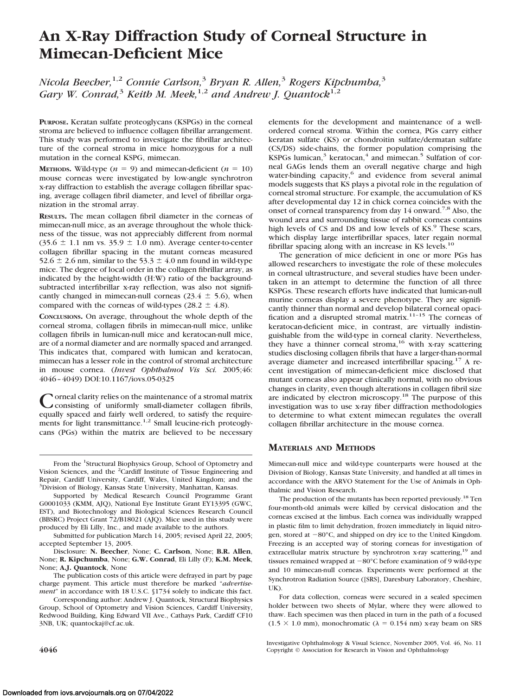# **An X-Ray Diffraction Study of Corneal Structure in Mimecan-Deficient Mice**

*Nicola Beecher,*1,2 *Connie Carlson,*<sup>3</sup> *Bryan R. Allen,*<sup>3</sup> *Rogers Kipchumba,*<sup>3</sup> *Gary W. Conrad,*<sup>3</sup> *Keith M. Meek*,<sup>1,2</sup> *and Andrew J. Quantock*<sup>1,2</sup>

**PURPOSE.** Keratan sulfate proteoglycans (KSPGs) in the corneal stroma are believed to influence collagen fibrillar arrangement. This study was performed to investigate the fibrillar architecture of the corneal stroma in mice homozygous for a null mutation in the corneal KSPG, mimecan.

**METHODS.** Wild-type  $(n = 9)$  and mimecan-deficient  $(n = 10)$ mouse corneas were investigated by low-angle synchrotron x-ray diffraction to establish the average collagen fibrillar spacing, average collagen fibril diameter, and level of fibrillar organization in the stromal array.

**RESULTS.** The mean collagen fibril diameter in the corneas of mimecan-null mice, as an average throughout the whole thickness of the tissue, was not appreciably different from normal  $(35.6 \pm 1.1 \text{ nm vs. } 35.9 \pm 1.0 \text{ nm})$ . Average center-to-center collagen fibrillar spacing in the mutant corneas measured 52.6  $\pm$  2.6 nm, similar to the 53.3  $\pm$  4.0 nm found in wild-type mice. The degree of local order in the collagen fibrillar array, as indicated by the height-width (H:W) ratio of the backgroundsubtracted interfibrillar x-ray reflection, was also not significantly changed in mimecan-null corneas  $(23.4 \pm 5.6)$ , when compared with the corneas of wild-types (28.2  $\pm$  4.8).

**CONCLUSIONS.** On average, throughout the whole depth of the corneal stroma, collagen fibrils in mimecan-null mice, unlike collagen fibrils in lumican-null mice and keratocan-null mice, are of a normal diameter and are normally spaced and arranged. This indicates that, compared with lumican and keratocan, mimecan has a lesser role in the control of stromal architecture in mouse cornea. (*Invest Ophthalmol Vis Sci.* 2005;46: 4046 – 4049) DOI:10.1167/iovs.05-0325

Corneal clarity relies on the maintenance of a stromal matrix<br>
consisting of uniformly small-diameter collagen fibrils, equally spaced and fairly well ordered, to satisfy the requirements for light transmittance.<sup>1,2</sup> Small leucine-rich proteoglycans (PGs) within the matrix are believed to be necessary elements for the development and maintenance of a wellordered corneal stroma. Within the cornea, PGs carry either keratan sulfate (KS) or chondroitin sulfate/dermatan sulfate (CS/DS) side-chains, the former population comprising the KSPGs lumican,<sup>3</sup> keratocan,<sup>4</sup> and mimecan.<sup>5</sup> Sulfation of corneal GAGs lends them an overall negative charge and high water-binding capacity,<sup>6</sup> and evidence from several animal models suggests that KS plays a pivotal role in the regulation of corneal stromal structure. For example, the accumulation of KS after developmental day 12 in chick cornea coincides with the onset of corneal transparency from day 14 onward.<sup>7,8</sup> Also, the wound area and surrounding tissue of rabbit corneas contains high levels of CS and DS and low levels of KS.<sup>9</sup> These scars, which display large interfibrillar spaces, later regain normal fibrillar spacing along with an increase in KS levels. $^{10}$ 

The generation of mice deficient in one or more PGs has allowed researchers to investigate the role of these molecules in corneal ultrastructure, and several studies have been undertaken in an attempt to determine the function of all three KSPGs. These research efforts have indicated that lumican-null murine corneas display a severe phenotype. They are significantly thinner than normal and develop bilateral corneal opacification and a disrupted stromal matrix.<sup>11–15</sup> The corneas of keratocan-deficient mice, in contrast, are virtually indistinguishable from the wild-type in corneal clarity. Nevertheless, they have a thinner corneal stroma,<sup>16</sup> with x-ray scattering studies disclosing collagen fibrils that have a larger-than-normal average diameter and increased interfibrillar spacing.<sup>17</sup> A recent investigation of mimecan-deficient mice disclosed that mutant corneas also appear clinically normal, with no obvious changes in clarity, even though alterations in collagen fibril size are indicated by electron microscopy.<sup>18</sup> The purpose of this investigation was to use x-ray fiber diffraction methodologies to determine to what extent mimecan regulates the overall collagen fibrillar architecture in the mouse cornea.

## **MATERIALS AND METHODS**

Mimecan-null mice and wild-type counterparts were housed at the Division of Biology, Kansas State University, and handled at all times in accordance with the ARVO Statement for the Use of Animals in Ophthalmic and Vision Research.

The production of the mutants has been reported previously.18 Ten four-month-old animals were killed by cervical dislocation and the corneas excised at the limbus. Each cornea was individually wrapped in plastic film to limit dehydration, frozen immediately in liquid nitrogen, stored at  $-80^{\circ}$ C, and shipped on dry ice to the United Kingdom. Freezing is an accepted way of storing corneas for investigation of extracellular matrix structure by synchrotron x-ray scattering,<sup>19</sup> and tissues remained wrapped at  $-80^{\circ}$ C before examination of 9 wild-type and 10 mimecan-null corneas. Experiments were performed at the Synchrotron Radiation Source ([SRS], Daresbury Laboratory, Cheshire,  $I$  $K$ ).

For data collection, corneas were secured in a sealed specimen holder between two sheets of Mylar, where they were allowed to thaw. Each specimen was then placed in turn in the path of a focused  $(1.5 \times 1.0 \text{ mm})$ , monochromatic  $(\lambda = 0.154 \text{ nm})$  x-ray beam on SRS

Investigative Ophthalmology & Visual Science, November 2005, Vol. 46, No. 11 **4046** Copyright © Association for Research in Vision and Ophthalmology

From the <sup>1</sup>Structural Biophysics Group, School of Optometry and Vision Sciences, and the <sup>2</sup>Cardiff Institute of Tissue Engineering and Repair, Cardiff University, Cardiff, Wales, United Kingdom; and the 3 Division of Biology, Kansas State University, Manhattan, Kansas.

Supported by Medical Research Council Programme Grant G0001033 (KMM, AJQ), National Eye Institute Grant EY13395 (GWC, EST), and Biotechnology and Biological Sciences Research Council (BBSRC) Project Grant 72/B18021 (AJQ). Mice used in this study were produced by Eli Lilly, Inc., and made available to the authors.

Submitted for publication March 14, 2005; revised April 22, 2005; accepted September 13, 2005.

Disclosure: **N. Beecher**, None; **C. Carlson**, None; **B.R. Allen**, None; **R. Kipchumba**, None; **G.W. Conrad**, Eli Lilly (F); **K.M. Meek**, None; **A.J. Quantock**, None

The publication costs of this article were defrayed in part by page charge payment. This article must therefore be marked "*advertisement*" in accordance with 18 U.S.C. §1734 solely to indicate this fact.

Corresponding author: Andrew J. Quantock, Structural Biophysics Group, School of Optometry and Vision Sciences, Cardiff University, Redwood Building, King Edward VII Ave., Cathays Park, Cardiff CF10 3NB, UK; quantockaj@cf.ac.uk.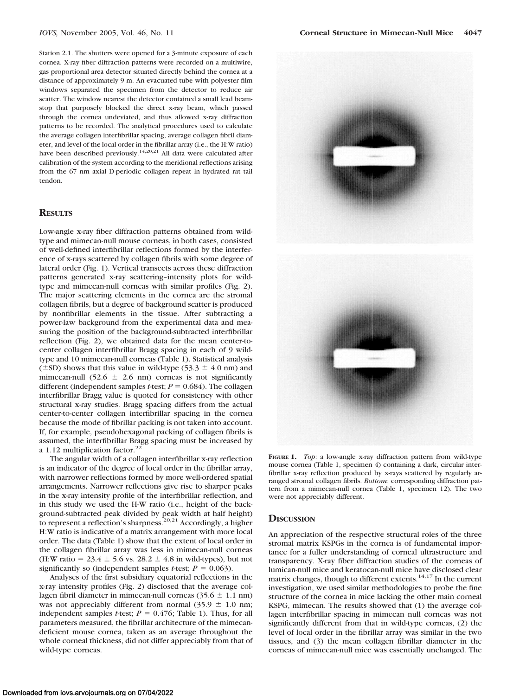Station 2.1. The shutters were opened for a 3-minute exposure of each cornea. X-ray fiber diffraction patterns were recorded on a multiwire, gas proportional area detector situated directly behind the cornea at a distance of approximately 9 m. An evacuated tube with polyester film windows separated the specimen from the detector to reduce air scatter. The window nearest the detector contained a small lead beamstop that purposely blocked the direct x-ray beam, which passed through the cornea undeviated, and thus allowed x-ray diffraction patterns to be recorded. The analytical procedures used to calculate the average collagen interfibrillar spacing, average collagen fibril diameter, and level of the local order in the fibrillar array (i.e., the H:W ratio) have been described previously.<sup>14,20,21</sup> All data were calculated after calibration of the system according to the meridional reflections arising from the 67 nm axial D-periodic collagen repeat in hydrated rat tail tendon.

### **RESULTS**

Low-angle x-ray fiber diffraction patterns obtained from wildtype and mimecan-null mouse corneas, in both cases, consisted of well-defined interfibrillar reflections formed by the interference of x-rays scattered by collagen fibrils with some degree of lateral order (Fig. 1). Vertical transects across these diffraction patterns generated x-ray scattering–intensity plots for wildtype and mimecan-null corneas with similar profiles (Fig. 2). The major scattering elements in the cornea are the stromal collagen fibrils, but a degree of background scatter is produced by nonfibrillar elements in the tissue. After subtracting a power-law background from the experimental data and measuring the position of the background-subtracted interfibrillar reflection (Fig. 2), we obtained data for the mean center-tocenter collagen interfibrillar Bragg spacing in each of 9 wildtype and 10 mimecan-null corneas (Table 1). Statistical analysis  $(\pm SD)$  shows that this value in wild-type (53.3  $\pm$  4.0 nm) and mimecan-null  $(52.6 \pm 2.6 \text{ nm})$  corneas is not significantly different (independent samples *t*-test;  $P = 0.684$ ). The collagen interfibrillar Bragg value is quoted for consistency with other structural x-ray studies. Bragg spacing differs from the actual center-to-center collagen interfibrillar spacing in the cornea because the mode of fibrillar packing is not taken into account. If, for example, pseudohexagonal packing of collagen fibrils is assumed, the interfibrillar Bragg spacing must be increased by a 1.12 multiplication factor. $22$ 

The angular width of a collagen interfibrillar x-ray reflection is an indicator of the degree of local order in the fibrillar array, with narrower reflections formed by more well-ordered spatial arrangements. Narrower reflections give rise to sharper peaks in the x-ray intensity profile of the interfibrillar reflection, and in this study we used the H-W ratio (i.e., height of the background-subtracted peak divided by peak width at half height) to represent a reflection's sharpness.<sup>20,21</sup> Accordingly, a higher H:W ratio is indicative of a matrix arrangement with more local order. The data (Table 1) show that the extent of local order in the collagen fibrillar array was less in mimecan-null corneas (H:W ratio =  $23.4 \pm 5.6$  vs.  $28.2 \pm 4.8$  in wild-types), but not significantly so (independent samples *t*-test;  $P = 0.063$ ).

Analyses of the first subsidiary equatorial reflections in the x-ray intensity profiles (Fig. 2) disclosed that the average collagen fibril diameter in mimecan-null corneas  $(35.6 \pm 1.1 \text{ nm})$ was not appreciably different from normal  $(35.9 \pm 1.0 \text{ nm})$ ; independent samples *t*-test;  $P = 0.476$ ; Table 1). Thus, for all parameters measured, the fibrillar architecture of the mimecandeficient mouse cornea, taken as an average throughout the whole corneal thickness, did not differ appreciably from that of wild-type corneas.



**FIGURE 1.** *Top*: a low-angle x-ray diffraction pattern from wild-type mouse cornea (Table 1, specimen 4) containing a dark, circular interfibrillar x-ray reflection produced by x-rays scattered by regularly arranged stromal collagen fibrils. *Bottom*: corresponding diffraction pattern from a mimecan-null cornea (Table 1, specimen 12). The two were not appreciably different.

#### **DISCUSSION**

An appreciation of the respective structural roles of the three stromal matrix KSPGs in the cornea is of fundamental importance for a fuller understanding of corneal ultrastructure and transparency. X-ray fiber diffraction studies of the corneas of lumican-null mice and keratocan-null mice have disclosed clear matrix changes, though to different extents.<sup>14,17</sup> In the current investigation, we used similar methodologies to probe the fine structure of the cornea in mice lacking the other main corneal KSPG, mimecan. The results showed that (1) the average collagen interfibrillar spacing in mimecan null corneas was not significantly different from that in wild-type corneas, (2) the level of local order in the fibrillar array was similar in the two tissues, and (3) the mean collagen fibrillar diameter in the corneas of mimecan-null mice was essentially unchanged. The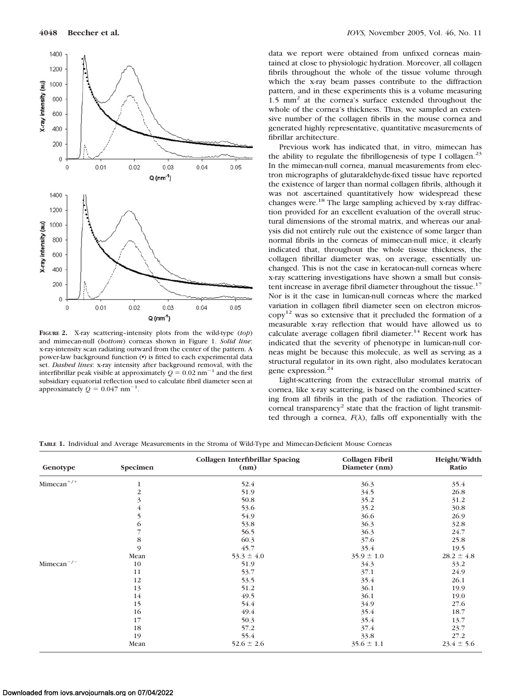

**FIGURE 2.** X-ray scattering–intensity plots from the wild-type (*top*) and mimecan-null (*bottom*) corneas shown in Figure 1. *Solid line*: x-ray-intensity scan radiating outward from the center of the pattern. A power-law background function ( $\bullet$ ) is fitted to each experimental data set. *Dashed lines*: x-ray intensity after background removal, with the interfibrillar peak visible at approximately  $Q = 0.02$  nm<sup>-1</sup> and the first subsidiary equatorial reflection used to calculate fibril diameter seen at approximately  $Q = 0.047$  nm<sup>-1</sup>.

data we report were obtained from unfixed corneas maintained at close to physiologic hydration. Moreover, all collagen fibrils throughout the whole of the tissue volume through which the x-ray beam passes contribute to the diffraction pattern, and in these experiments this is a volume measuring 1.5 mm<sup>2</sup> at the cornea's surface extended throughout the whole of the cornea's thickness. Thus, we sampled an extensive number of the collagen fibrils in the mouse cornea and generated highly representative, quantitative measurements of fibrillar architecture.

Previous work has indicated that, in vitro, mimecan has the ability to regulate the fibrillogenesis of type I collagen. $23$ In the mimecan-null cornea, manual measurements from electron micrographs of glutaraldehyde-fixed tissue have reported the existence of larger than normal collagen fibrils, although it was not ascertained quantitatively how widespread these changes were.<sup>18</sup> The large sampling achieved by x-ray diffraction provided for an excellent evaluation of the overall structural dimensions of the stromal matrix, and whereas our analysis did not entirely rule out the existence of some larger than normal fibrils in the corneas of mimecan-null mice, it clearly indicated that, throughout the whole tissue thickness, the collagen fibrillar diameter was, on average, essentially unchanged. This is not the case in keratocan-null corneas where x-ray scattering investigations have shown a small but consistent increase in average fibril diameter throughout the tissue.<sup>17</sup> Nor is it the case in lumican-null corneas where the marked variation in collagen fibril diameter seen on electron micros- $\text{copy}^{12}$  was so extensive that it precluded the formation of a measurable x-ray reflection that would have allowed us to calculate average collagen fibril diameter.<sup>14</sup> Recent work has indicated that the severity of phenotype in lumican-null corneas might be because this molecule, as well as serving as a structural regulator in its own right, also modulates keratocan gene expression.<sup>24</sup>

Light-scattering from the extracellular stromal matrix of cornea, like x-ray scattering, is based on the combined scattering from all fibrils in the path of the radiation. Theories of corneal transparency<sup>2</sup> state that the fraction of light transmitted through a cornea,  $F(\lambda)$ , falls off exponentially with the

**TABLE 1.** Individual and Average Measurements in the Stroma of Wild-Type and Mimecan-Deficient Mouse Corneas

| Genotype                 | Specimen       | <b>Collagen Interfibrillar Spacing</b><br>(nm) | Collagen Fibril<br>Diameter (nm) | Height/Width<br>Ratio |
|--------------------------|----------------|------------------------------------------------|----------------------------------|-----------------------|
| $Mimecan^{\mathrm{+/+}}$ | 1              | 52.4                                           | 36.3                             | 35.4                  |
|                          | 2              | 51.9                                           | 34.5                             | 26.8                  |
|                          | 3              | 50.8                                           | 35.2                             | 31.2                  |
|                          | $\overline{4}$ | 53.6                                           | 35.2                             | 30.8                  |
|                          | 5              | 54.9                                           | 36.6                             | 26.9                  |
|                          | 6              | 53.8                                           | 36.3                             | 32.8                  |
|                          | 7              | 56.5                                           | 36.3                             | 24.7                  |
|                          | 8              | 60.3                                           | 37.6                             | 25.8                  |
|                          | 9              | 45.7                                           | 35.4                             | 19.5                  |
|                          | Mean           | $53.3 \pm 4.0$                                 | $35.9 \pm 1.0$                   | $28.2 \pm 4.8$        |
| $Mimecan^{-/-}$          | 10             | 51.9                                           | 34.3                             | 33.2                  |
|                          | 11             | 53.7                                           | 37.1                             | 24.9                  |
|                          | 12             | 53.5                                           | 35.4                             | 26.1                  |
|                          | 13             | 51.2                                           | 36.1                             | 19.9                  |
|                          | 14             | 49.5                                           | 36.1                             | 19.0                  |
|                          | 15             | 54.4                                           | 34.9                             | 27.6                  |
|                          | 16             | 49.4                                           | 35.4                             | 18.7                  |
|                          | 17             | 50.3                                           | 35.4                             | 13.7                  |
|                          | 18             | 57.2                                           | 37.4                             | 23.7                  |
|                          | 19             | 55.4                                           | 33.8                             | 27.2                  |
|                          | Mean           | $52.6 \pm 2.6$                                 | $35.6 \pm 1.1$                   | $23.4 \pm 5.6$        |